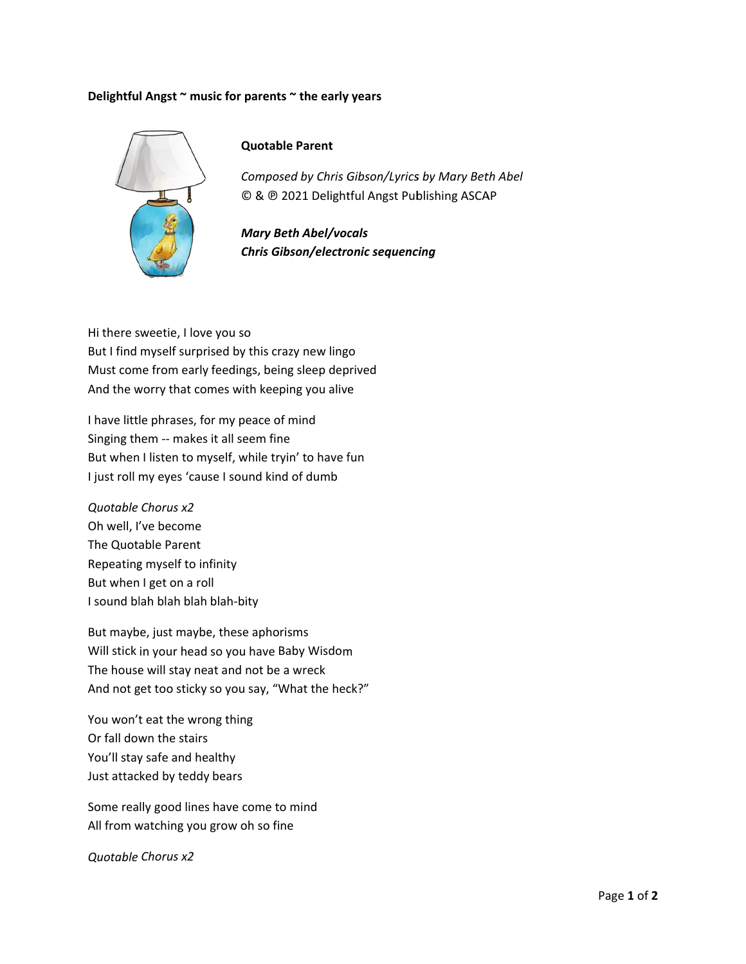## Delightful Angst ~ music for parents ~ the early years



## **Quotable Parent**

Composed by Chris Gibson/Lyrics by Mary Beth Abel © & @ 2021 Delightful Angst Publishing ASCAP

**Mary Beth Abel/vocals Chris Gibson/electronic sequencing** 

Hi there sweetie, I love you so But I find myself surprised by this crazy new lingo Must come from early feedings, being sleep deprived And the worry that comes with keeping you alive

I have little phrases, for my peace of mind Singing them -- makes it all seem fine But when I listen to myself, while tryin' to have fun I just roll my eyes 'cause I sound kind of dumb

Quotable Chorus x2 Oh well. I've become The Quotable Parent Repeating myself to infinity But when I get on a roll I sound blah blah blah blah-bity

But maybe, just maybe, these aphorisms Will stick in your head so you have Baby Wisdom The house will stay neat and not be a wreck And not get too sticky so you say, "What the heck?"

You won't eat the wrong thing Or fall down the stairs You'll stay safe and healthy Just attacked by teddy bears

Some really good lines have come to mind All from watching you grow oh so fine

**Quotable Chorus x2**